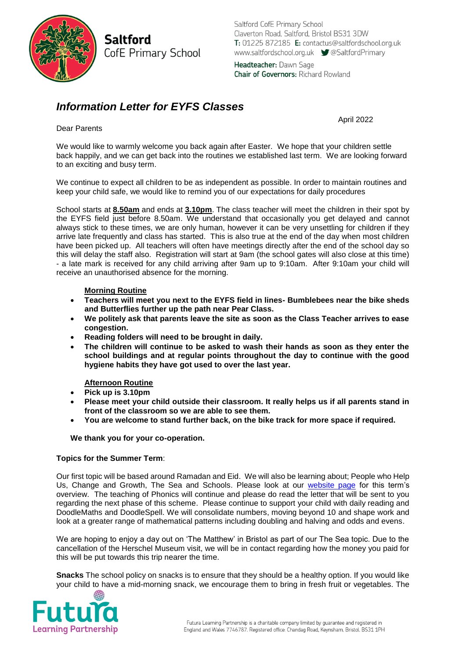

**Saltford** CofE Primary School Saltford CofE Primary School Claverton Road, Saltford, Bristol BS31 3DW T: 01225 872185 E: contactus@saltfordschool.org.uk www.saltfordschool.org.uk V@SaltfordPrimary

Headteacher: Dawn Sage **Chair of Governors: Richard Rowland** 

# *Information Letter for EYFS Classes*

April 2022

Dear Parents

We would like to warmly welcome you back again after Easter. We hope that your children settle back happily, and we can get back into the routines we established last term. We are looking forward to an exciting and busy term.

We continue to expect all children to be as independent as possible. In order to maintain routines and keep your child safe, we would like to remind you of our expectations for daily procedures

School starts at **8.50am** and ends at **3.10pm**. The class teacher will meet the children in their spot by the EYFS field just before 8.50am. We understand that occasionally you get delayed and cannot always stick to these times, we are only human, however it can be very unsettling for children if they arrive late frequently and class has started. This is also true at the end of the day when most children have been picked up. All teachers will often have meetings directly after the end of the school day so this will delay the staff also. Registration will start at 9am (the school gates will also close at this time) - a late mark is received for any child arriving after 9am up to 9:10am. After 9:10am your child will receive an unauthorised absence for the morning.

# **Morning Routine**

- **Teachers will meet you next to the EYFS field in lines- Bumblebees near the bike sheds and Butterflies further up the path near Pear Class.**
- **We politely ask that parents leave the site as soon as the Class Teacher arrives to ease congestion.**
- **Reading folders will need to be brought in daily.**
- **The children will continue to be asked to wash their hands as soon as they enter the school buildings and at regular points throughout the day to continue with the good hygiene habits they have got used to over the last year.**

# **Afternoon Routine**

- **Pick up is 3.10pm**
- **Please meet your child outside their classroom. It really helps us if all parents stand in front of the classroom so we are able to see them.**
- **You are welcome to stand further back, on the bike track for more space if required.**

## **We thank you for your co-operation.**

### **Topics for the Summer Term**:

Our first topic will be based around Ramadan and Eid. We will also be learning about; People who Help Us, Change and Growth, The Sea and Schools. Please look at our [website page](https://www.saltfordschool.org.uk/classes/) for this term's overview. The teaching of Phonics will continue and please do read the letter that will be sent to you regarding the next phase of this scheme. Please continue to support your child with daily reading and DoodleMaths and DoodleSpell. We will consolidate numbers, moving beyond 10 and shape work and look at a greater range of mathematical patterns including doubling and halving and odds and evens.

We are hoping to enjoy a day out on 'The Matthew' in Bristol as part of our The Sea topic. Due to the cancellation of the Herschel Museum visit, we will be in contact regarding how the money you paid for this will be put towards this trip nearer the time.

**Snacks** The school policy on snacks is to ensure that they should be a healthy option. If you would like your child to have a mid-morning snack, we encourage them to bring in fresh fruit or vegetables. The

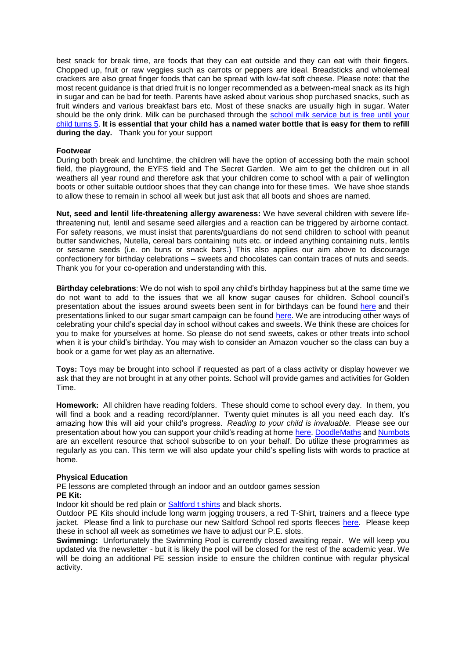best snack for break time, are foods that they can eat outside and they can eat with their fingers. Chopped up, fruit or raw veggies such as carrots or peppers are ideal. Breadsticks and wholemeal crackers are also great finger foods that can be spread with low-fat soft cheese. Please note: that the most recent guidance is that dried fruit is no longer recommended as a between-meal snack as its high in sugar and can be bad for teeth. Parents have asked about various shop purchased snacks, such as fruit winders and various breakfast bars etc. Most of these snacks are usually high in sugar. Water should be the only drink. Milk can be purchased through the [school milk service](http://www.saltfordschool.org.uk/assets/uploads/documents/office/General%20Parent%20Letter%20Milk%20Feb%202018.pdf) but is free until your child turns 5. **It is essential that your child has a named water bottle that is easy for them to refill during the day.** Thank you for your support

#### **Footwear**

During both break and lunchtime, the children will have the option of accessing both the main school field, the playground, the EYFS field and The Secret Garden. We aim to get the children out in all weathers all year round and therefore ask that your children come to school with a pair of wellington boots or other suitable outdoor shoes that they can change into for these times. We have shoe stands to allow these to remain in school all week but just ask that all boots and shoes are named.

**Nut, seed and lentil life-threatening allergy awareness:** We have several children with severe lifethreatening nut, lentil and sesame seed allergies and a reaction can be triggered by airborne contact. For safety reasons, we must insist that parents/guardians do not send children to school with peanut butter sandwiches, Nutella, cereal bars containing nuts etc. or indeed anything containing nuts, lentils or sesame seeds (i.e. on buns or snack bars.) This also applies our aim above to discourage confectionery for birthday celebrations – sweets and chocolates can contain traces of nuts and seeds. Thank you for your co-operation and understanding with this.

**Birthday celebrations**: We do not wish to spoil any child's birthday happiness but at the same time we do not want to add to the issues that we all know sugar causes for children. School council's presentation about the issues around sweets been sent in for birthdays can be found [here](https://www.saltfordschool.org.uk/assets/uploads/documents/children/Healthy%20eating.pdf) and their presentations linked to our sugar smart campaign can be found [here.](https://www.saltfordschool.org.uk/assets/uploads/images/children/Sugar%20Smart%20Assembly%201%20-%20Saltford%20School.pdf) We are introducing other ways of celebrating your child's special day in school without cakes and sweets. We think these are choices for you to make for yourselves at home. So please do not send sweets, cakes or other treats into school when it is your child's birthday. You may wish to consider an Amazon voucher so the class can buy a book or a game for wet play as an alternative.

**Toys:** Toys may be brought into school if requested as part of a class activity or display however we ask that they are not brought in at any other points. School will provide games and activities for Golden Time.

**Homework:** All children have reading folders. These should come to school every day. In them, you will find a book and a reading record/planner. Twenty quiet minutes is all you need each day. It's amazing how this will aid your child's progress. *Reading to your child is invaluable.* Please see our presentation about how you can support your child's reading at home [here.](https://www.saltfordschool.org.uk/assets/uploads/documents/curriculum/english/Reading%20at%20Saltford%20School.pdf) [DoodleMaths](https://www.doodlemaths.com/) and [Numbots](https://play.numbots.com/#/intro) are an excellent resource that school subscribe to on your behalf. Do utilize these programmes as regularly as you can. This term we will also update your child's spelling lists with words to practice at home.

#### **Physical Education**

PE lessons are completed through an indoor and an outdoor games session **PE Kit:**

Indoor kit should be red plain or [Saltford t shirts](https://www.saltfordschool.org.uk/the-office/) and black shorts.

Outdoor PE Kits should include long warm jogging trousers, a red T-Shirt, trainers and a fleece type jacket. Please find a link to purchase our new Saltford School red sports fleeces [here.](http://harvemschoolwear.co.uk/) Please keep these in school all week as sometimes we have to adjust our P.E. slots.

**Swimming:** Unfortunately the Swimming Pool is currently closed awaiting repair. We will keep you updated via the newsletter - but it is likely the pool will be closed for the rest of the academic year. We will be doing an additional PE session inside to ensure the children continue with regular physical activity.